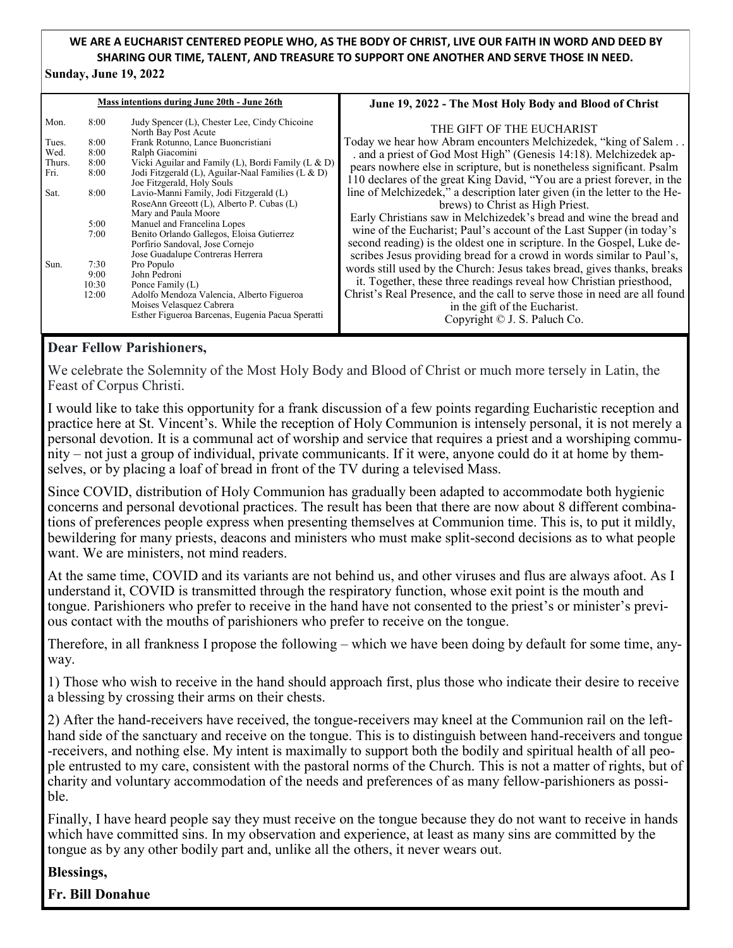## **WE ARE A EUCHARIST CENTERED PEOPLE WHO, AS THE BODY OF CHRIST, LIVE OUR FAITH IN WORD AND DEED BY SHARING OUR TIME, TALENT, AND TREASURE TO SUPPORT ONE ANOTHER AND SERVE THOSE IN NEED.**

#### **Sunday, June 19, 2022**

| Mass intentions during June 20th - June 26th |       |                                                                                                              | June 19, 2022 - The Most Holy Body and Blood of Christ                                                                                                                              |
|----------------------------------------------|-------|--------------------------------------------------------------------------------------------------------------|-------------------------------------------------------------------------------------------------------------------------------------------------------------------------------------|
| Mon.                                         | 8:00  | Judy Spencer (L), Chester Lee, Cindy Chicoine<br>North Bay Post Acute                                        | THE GIFT OF THE EUCHARIST                                                                                                                                                           |
| Tues.                                        | 8:00  | Frank Rotunno, Lance Buoncristiani                                                                           | Today we hear how Abram encounters Melchizedek, "king of Salem                                                                                                                      |
| Wed.                                         | 8:00  | Ralph Giacomini                                                                                              | . and a priest of God Most High" (Genesis 14:18). Melchizedek ap-                                                                                                                   |
| Thurs.                                       | 8:00  | Vicki Aguilar and Family (L), Bordi Family (L & D)                                                           | pears nowhere else in scripture, but is nonetheless significant. Psalm                                                                                                              |
| Fri.                                         | 8:00  | Jodi Fitzgerald (L), Aguilar-Naal Families (L & D)<br>Joe Fitzgerald, Holy Souls                             | 110 declares of the great King David, "You are a priest forever, in the                                                                                                             |
| Sat.                                         | 8:00  | Lavio-Manni Family, Jodi Fitzgerald (L)<br>RoseAnn Greeott (L), Alberto P. Cubas (L)<br>Mary and Paula Moore | line of Melchizedek," a description later given (in the letter to the He-<br>brews) to Christ as High Priest.<br>Early Christians saw in Melchizedek's bread and wine the bread and |
|                                              | 5:00  | Manuel and Francelina Lopes                                                                                  |                                                                                                                                                                                     |
|                                              | 7:00  | Benito Orlando Gallegos, Eloisa Gutierrez                                                                    | wine of the Eucharist; Paul's account of the Last Supper (in today's                                                                                                                |
|                                              |       | Porfirio Sandoval, Jose Cornejo                                                                              | second reading) is the oldest one in scripture. In the Gospel, Luke de-                                                                                                             |
| Sun.                                         | 7:30  | Jose Guadalupe Contreras Herrera                                                                             | scribes Jesus providing bread for a crowd in words similar to Paul's,                                                                                                               |
|                                              | 9:00  | Pro Populo<br>John Pedroni                                                                                   | words still used by the Church: Jesus takes bread, gives thanks, breaks                                                                                                             |
|                                              | 10:30 | Ponce Family (L)                                                                                             | it. Together, these three readings reveal how Christian priesthood,                                                                                                                 |
|                                              | 12:00 | Adolfo Mendoza Valencia, Alberto Figueroa                                                                    | Christ's Real Presence, and the call to serve those in need are all found                                                                                                           |
|                                              |       | Moises Velasquez Cabrera                                                                                     |                                                                                                                                                                                     |
|                                              |       | Esther Figueroa Barcenas, Eugenia Pacua Speratti                                                             | in the gift of the Eucharist.                                                                                                                                                       |
|                                              |       |                                                                                                              | Copyright © J. S. Paluch Co.                                                                                                                                                        |

### **Dear Fellow Parishioners,**

We celebrate the Solemnity of the Most Holy Body and Blood of Christ or much more tersely in Latin, the Feast of Corpus Christi.

I would like to take this opportunity for a frank discussion of a few points regarding Eucharistic reception and practice here at St. Vincent's. While the reception of Holy Communion is intensely personal, it is not merely a personal devotion. It is a communal act of worship and service that requires a priest and a worshiping community – not just a group of individual, private communicants. If it were, anyone could do it at home by themselves, or by placing a loaf of bread in front of the TV during a televised Mass.

Since COVID, distribution of Holy Communion has gradually been adapted to accommodate both hygienic concerns and personal devotional practices. The result has been that there are now about 8 different combinations of preferences people express when presenting themselves at Communion time. This is, to put it mildly, bewildering for many priests, deacons and ministers who must make split-second decisions as to what people want. We are ministers, not mind readers.

At the same time, COVID and its variants are not behind us, and other viruses and flus are always afoot. As I understand it, COVID is transmitted through the respiratory function, whose exit point is the mouth and tongue. Parishioners who prefer to receive in the hand have not consented to the priest's or minister's previous contact with the mouths of parishioners who prefer to receive on the tongue.

Therefore, in all frankness I propose the following – which we have been doing by default for some time, anyway.

1) Those who wish to receive in the hand should approach first, plus those who indicate their desire to receive a blessing by crossing their arms on their chests.

2) After the hand-receivers have received, the tongue-receivers may kneel at the Communion rail on the lefthand side of the sanctuary and receive on the tongue. This is to distinguish between hand-receivers and tongue -receivers, and nothing else. My intent is maximally to support both the bodily and spiritual health of all people entrusted to my care, consistent with the pastoral norms of the Church. This is not a matter of rights, but of charity and voluntary accommodation of the needs and preferences of as many fellow-parishioners as possible.

Finally, I have heard people say they must receive on the tongue because they do not want to receive in hands which have committed sins. In my observation and experience, at least as many sins are committed by the tongue as by any other bodily part and, unlike all the others, it never wears out.

#### **Blessings,**

**Fr. Bill Donahue**